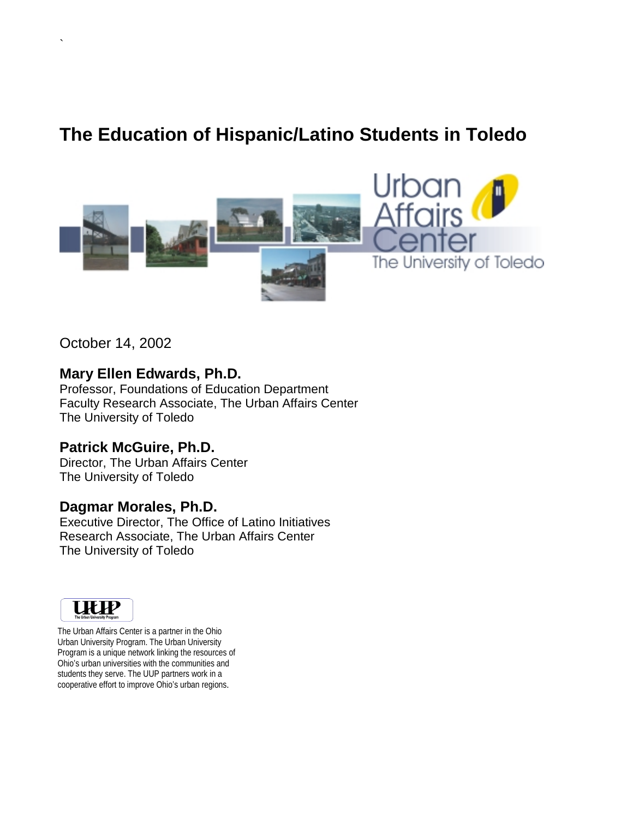# **The Education of Hispanic/Latino Students in Toledo**



October 14, 2002

`

# **Mary Ellen Edwards, Ph.D.**

Professor, Foundations of Education Department Faculty Research Associate, The Urban Affairs Center The University of Toledo

# **Patrick McGuire, Ph.D.**

Director, The Urban Affairs Center The University of Toledo

# **Dagmar Morales, Ph.D.**

Executive Director, The Office of Latino Initiatives Research Associate, The Urban Affairs Center The University of Toledo



 cooperative effort to improve Ohio's urban regions. The Urban Affairs Center is a partner in the Ohio Urban University Program. The Urban University Program is a unique network linking the resources of Ohio's urban universities with the communities and students they serve. The UUP partners work in a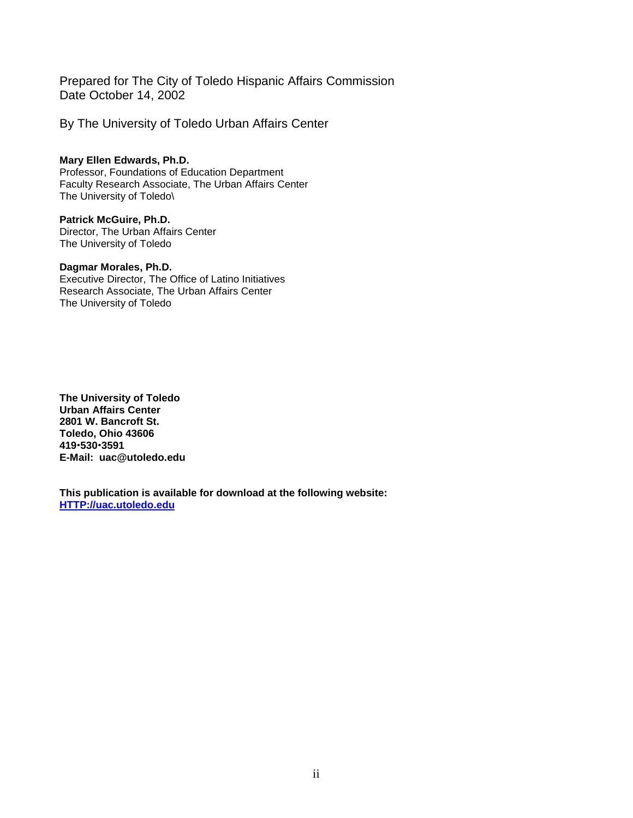Prepared for The City of Toledo Hispanic Affairs Commission Date October 14, 2002

By The University of Toledo Urban Affairs Center

**Mary Ellen Edwards, Ph.D.**  Professor, Foundations of Education Department Faculty Research Associate, The Urban Affairs Center The University of Toledo\

**Patrick McGuire, Ph.D.**  Director, The Urban Affairs Center The University of Toledo

# **Dagmar Morales, Ph.D.**

Executive Director, The Office of Latino Initiatives Research Associate, The Urban Affairs Center The University of Toledo

**The University of Toledo Urban Affairs Center 2801 W. Bancroft St. Toledo, Ohio 43606 419**!**530**!**3591 E-Mail: uac@utoledo.edu** 

**This publication is available for download at the following website: HTTP://uac.utoledo.edu**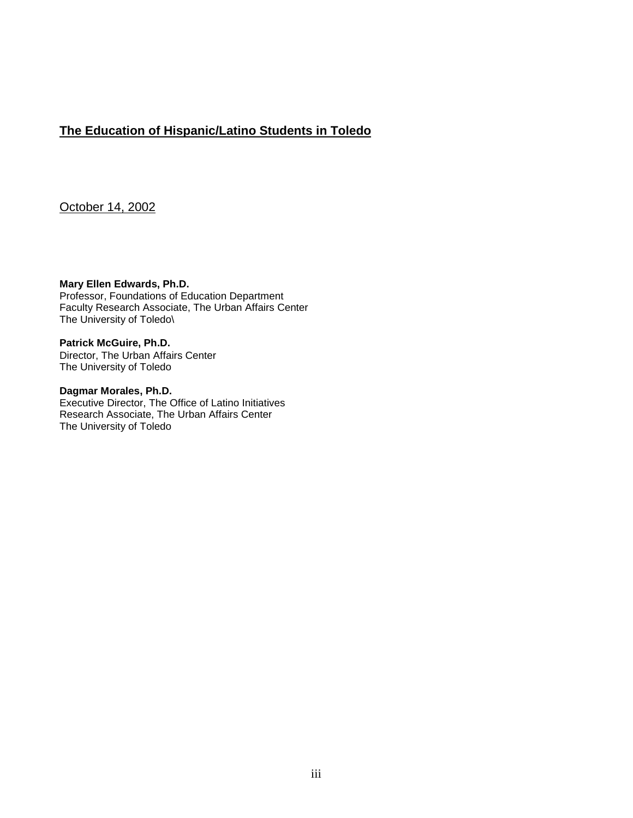# **The Education of Hispanic/Latino Students in Toledo**

October 14, 2002

**Mary Ellen Edwards, Ph.D.**  Professor, Foundations of Education Department Faculty Research Associate, The Urban Affairs Center The University of Toledo\

**Patrick McGuire, Ph.D.**  Director, The Urban Affairs Center The University of Toledo

**Dagmar Morales, Ph.D.**  Executive Director, The Office of Latino Initiatives Research Associate, The Urban Affairs Center The University of Toledo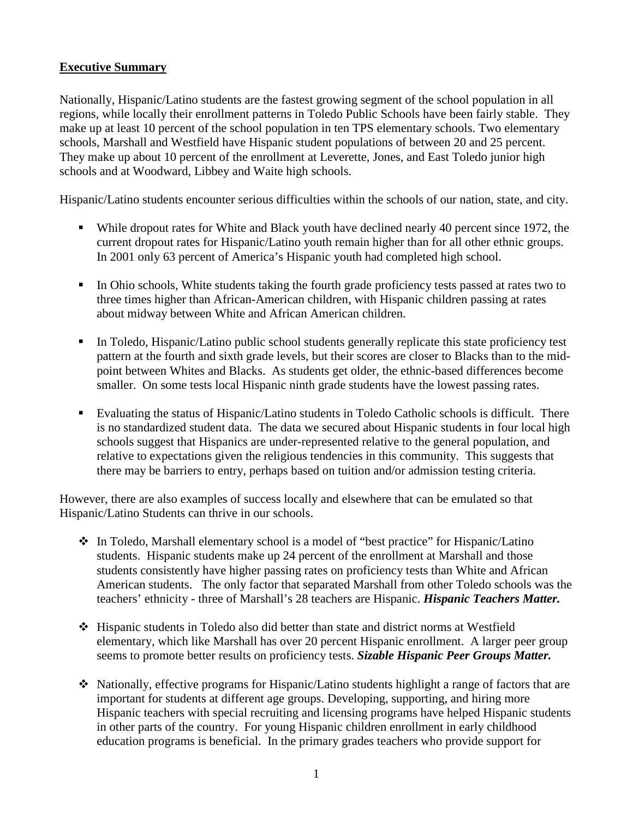# **Executive Summary**

Nationally, Hispanic/Latino students are the fastest growing segment of the school population in all regions, while locally their enrollment patterns in Toledo Public Schools have been fairly stable. They make up at least 10 percent of the school population in ten TPS elementary schools. Two elementary schools, Marshall and Westfield have Hispanic student populations of between 20 and 25 percent. They make up about 10 percent of the enrollment at Leverette, Jones, and East Toledo junior high schools and at Woodward, Libbey and Waite high schools.

Hispanic/Latino students encounter serious difficulties within the schools of our nation, state, and city.

- ! While dropout rates for White and Black youth have declined nearly 40 percent since 1972, the current dropout rates for Hispanic/Latino youth remain higher than for all other ethnic groups. In 2001 only 63 percent of America's Hispanic youth had completed high school.
- ! In Ohio schools, White students taking the fourth grade proficiency tests passed at rates two to three times higher than African-American children, with Hispanic children passing at rates about midway between White and African American children.
- ! In Toledo, Hispanic/Latino public school students generally replicate this state proficiency test pattern at the fourth and sixth grade levels, but their scores are closer to Blacks than to the midpoint between Whites and Blacks. As students get older, the ethnic-based differences become smaller. On some tests local Hispanic ninth grade students have the lowest passing rates.
- ! Evaluating the status of Hispanic/Latino students in Toledo Catholic schools is difficult. There is no standardized student data. The data we secured about Hispanic students in four local high schools suggest that Hispanics are under-represented relative to the general population, and relative to expectations given the religious tendencies in this community. This suggests that there may be barriers to entry, perhaps based on tuition and/or admission testing criteria.

However, there are also examples of success locally and elsewhere that can be emulated so that Hispanic/Latino Students can thrive in our schools.

- \* In Toledo, Marshall elementary school is a model of "best practice" for Hispanic/Latino students. Hispanic students make up 24 percent of the enrollment at Marshall and those students consistently have higher passing rates on proficiency tests than White and African American students. The only factor that separated Marshall from other Toledo schools was the teachers' ethnicity - three of Marshall's 28 teachers are Hispanic. *Hispanic Teachers Matter.*
- $\div$  Hispanic students in Toledo also did better than state and district norms at Westfield elementary, which like Marshall has over 20 percent Hispanic enrollment. A larger peer group seems to promote better results on proficiency tests. *Sizable Hispanic Peer Groups Matter.*
- $\bullet$  Nationally, effective programs for Hispanic/Latino students highlight a range of factors that are important for students at different age groups. Developing, supporting, and hiring more Hispanic teachers with special recruiting and licensing programs have helped Hispanic students in other parts of the country. For young Hispanic children enrollment in early childhood education programs is beneficial. In the primary grades teachers who provide support for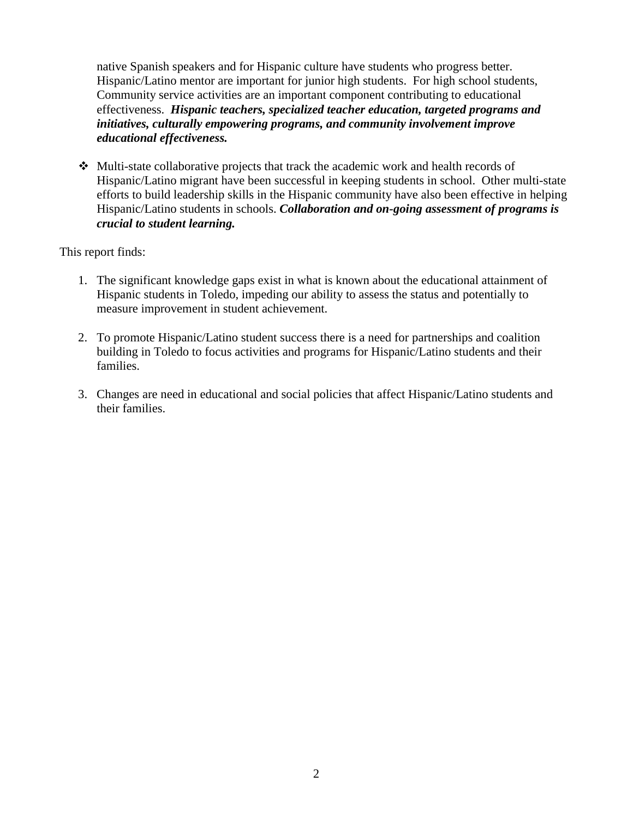native Spanish speakers and for Hispanic culture have students who progress better. Hispanic/Latino mentor are important for junior high students. For high school students, Community service activities are an important component contributing to educational effectiveness. *Hispanic teachers, specialized teacher education, targeted programs and initiatives, culturally empowering programs, and community involvement improve educational effectiveness.* 

 $\div$  Multi-state collaborative projects that track the academic work and health records of Hispanic/Latino migrant have been successful in keeping students in school. Other multi-state efforts to build leadership skills in the Hispanic community have also been effective in helping Hispanic/Latino students in schools. *Collaboration and on-going assessment of programs is crucial to student learning.*

This report finds:

- 1. The significant knowledge gaps exist in what is known about the educational attainment of Hispanic students in Toledo, impeding our ability to assess the status and potentially to measure improvement in student achievement.
- 2. To promote Hispanic/Latino student success there is a need for partnerships and coalition building in Toledo to focus activities and programs for Hispanic/Latino students and their families.
- 3. Changes are need in educational and social policies that affect Hispanic/Latino students and their families.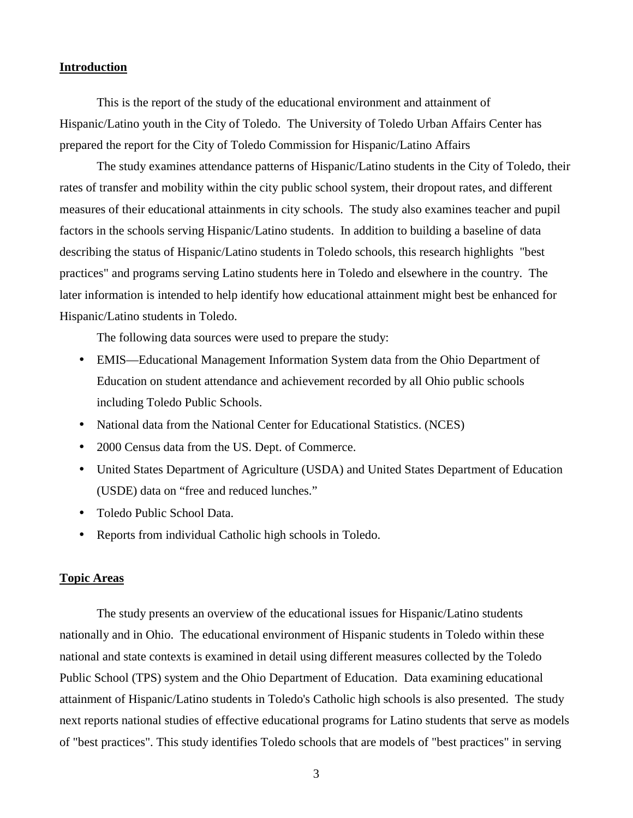# **Introduction**

 This is the report of the study of the educational environment and attainment of Hispanic/Latino youth in the City of Toledo. The University of Toledo Urban Affairs Center has prepared the report for the City of Toledo Commission for Hispanic/Latino Affairs

The study examines attendance patterns of Hispanic/Latino students in the City of Toledo, their rates of transfer and mobility within the city public school system, their dropout rates, and different measures of their educational attainments in city schools. The study also examines teacher and pupil factors in the schools serving Hispanic/Latino students. In addition to building a baseline of data describing the status of Hispanic/Latino students in Toledo schools, this research highlights "best practices" and programs serving Latino students here in Toledo and elsewhere in the country. The later information is intended to help identify how educational attainment might best be enhanced for Hispanic/Latino students in Toledo.

The following data sources were used to prepare the study:

- EMIS—Educational Management Information System data from the Ohio Department of Education on student attendance and achievement recorded by all Ohio public schools including Toledo Public Schools.
- National data from the National Center for Educational Statistics. (NCES)
- 2000 Census data from the US. Dept. of Commerce.
- United States Department of Agriculture (USDA) and United States Department of Education (USDE) data on "free and reduced lunches."
- Toledo Public School Data.
- Reports from individual Catholic high schools in Toledo.

# **Topic Areas**

The study presents an overview of the educational issues for Hispanic/Latino students nationally and in Ohio. The educational environment of Hispanic students in Toledo within these national and state contexts is examined in detail using different measures collected by the Toledo Public School (TPS) system and the Ohio Department of Education. Data examining educational attainment of Hispanic/Latino students in Toledo's Catholic high schools is also presented. The study next reports national studies of effective educational programs for Latino students that serve as models of "best practices". This study identifies Toledo schools that are models of "best practices" in serving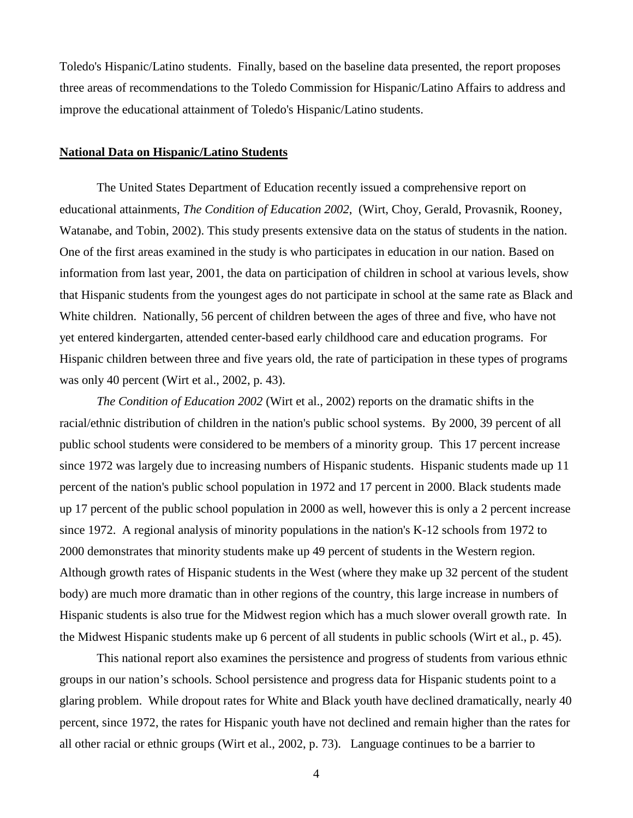Toledo's Hispanic/Latino students. Finally, based on the baseline data presented, the report proposes three areas of recommendations to the Toledo Commission for Hispanic/Latino Affairs to address and improve the educational attainment of Toledo's Hispanic/Latino students.

# **National Data on Hispanic/Latino Students**

The United States Department of Education recently issued a comprehensive report on educational attainments, *The Condition of Education 2002*, (Wirt, Choy, Gerald, Provasnik, Rooney, Watanabe, and Tobin, 2002). This study presents extensive data on the status of students in the nation. One of the first areas examined in the study is who participates in education in our nation. Based on information from last year, 2001, the data on participation of children in school at various levels, show that Hispanic students from the youngest ages do not participate in school at the same rate as Black and White children. Nationally, 56 percent of children between the ages of three and five, who have not yet entered kindergarten, attended center-based early childhood care and education programs. For Hispanic children between three and five years old, the rate of participation in these types of programs was only 40 percent (Wirt et al., 2002, p. 43).

*The Condition of Education 2002* (Wirt et al., 2002) reports on the dramatic shifts in the racial/ethnic distribution of children in the nation's public school systems. By 2000, 39 percent of all public school students were considered to be members of a minority group. This 17 percent increase since 1972 was largely due to increasing numbers of Hispanic students. Hispanic students made up 11 percent of the nation's public school population in 1972 and 17 percent in 2000. Black students made up 17 percent of the public school population in 2000 as well, however this is only a 2 percent increase since 1972. A regional analysis of minority populations in the nation's K-12 schools from 1972 to 2000 demonstrates that minority students make up 49 percent of students in the Western region. Although growth rates of Hispanic students in the West (where they make up 32 percent of the student body) are much more dramatic than in other regions of the country, this large increase in numbers of Hispanic students is also true for the Midwest region which has a much slower overall growth rate. In the Midwest Hispanic students make up 6 percent of all students in public schools (Wirt et al., p. 45).

 This national report also examines the persistence and progress of students from various ethnic groups in our nation's schools. School persistence and progress data for Hispanic students point to a glaring problem. While dropout rates for White and Black youth have declined dramatically, nearly 40 percent, since 1972, the rates for Hispanic youth have not declined and remain higher than the rates for all other racial or ethnic groups (Wirt et al., 2002, p. 73). Language continues to be a barrier to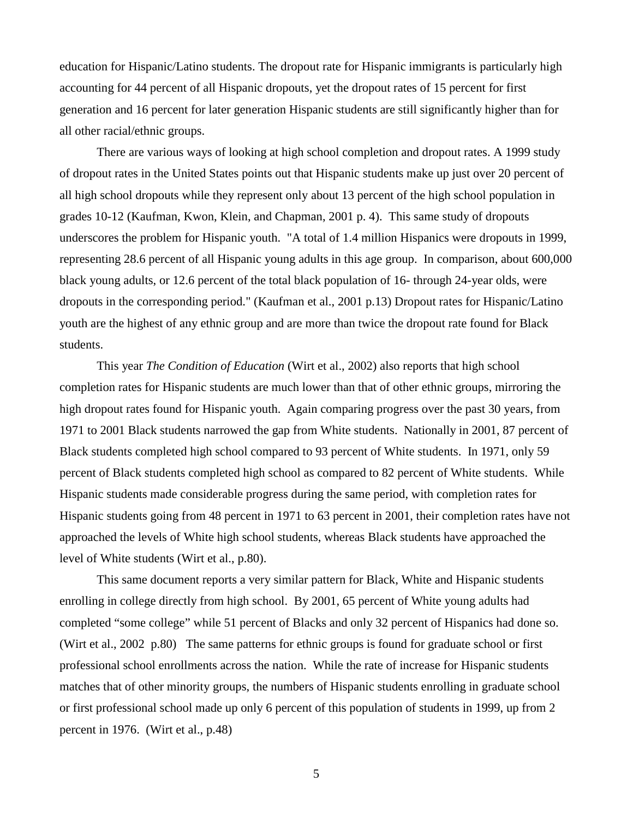education for Hispanic/Latino students. The dropout rate for Hispanic immigrants is particularly high accounting for 44 percent of all Hispanic dropouts, yet the dropout rates of 15 percent for first generation and 16 percent for later generation Hispanic students are still significantly higher than for all other racial/ethnic groups.

There are various ways of looking at high school completion and dropout rates. A 1999 study of dropout rates in the United States points out that Hispanic students make up just over 20 percent of all high school dropouts while they represent only about 13 percent of the high school population in grades 10-12 (Kaufman, Kwon, Klein, and Chapman, 2001 p. 4). This same study of dropouts underscores the problem for Hispanic youth. "A total of 1.4 million Hispanics were dropouts in 1999, representing 28.6 percent of all Hispanic young adults in this age group. In comparison, about 600,000 black young adults, or 12.6 percent of the total black population of 16- through 24-year olds, were dropouts in the corresponding period." (Kaufman et al., 2001 p.13) Dropout rates for Hispanic/Latino youth are the highest of any ethnic group and are more than twice the dropout rate found for Black students.

This year *The Condition of Education* (Wirt et al., 2002) also reports that high school completion rates for Hispanic students are much lower than that of other ethnic groups, mirroring the high dropout rates found for Hispanic youth. Again comparing progress over the past 30 years, from 1971 to 2001 Black students narrowed the gap from White students. Nationally in 2001, 87 percent of Black students completed high school compared to 93 percent of White students. In 1971, only 59 percent of Black students completed high school as compared to 82 percent of White students. While Hispanic students made considerable progress during the same period, with completion rates for Hispanic students going from 48 percent in 1971 to 63 percent in 2001, their completion rates have not approached the levels of White high school students, whereas Black students have approached the level of White students (Wirt et al., p.80).

 This same document reports a very similar pattern for Black, White and Hispanic students enrolling in college directly from high school. By 2001, 65 percent of White young adults had completed "some college" while 51 percent of Blacks and only 32 percent of Hispanics had done so. (Wirt et al., 2002 p.80) The same patterns for ethnic groups is found for graduate school or first professional school enrollments across the nation. While the rate of increase for Hispanic students matches that of other minority groups, the numbers of Hispanic students enrolling in graduate school or first professional school made up only 6 percent of this population of students in 1999, up from 2 percent in 1976. (Wirt et al., p.48)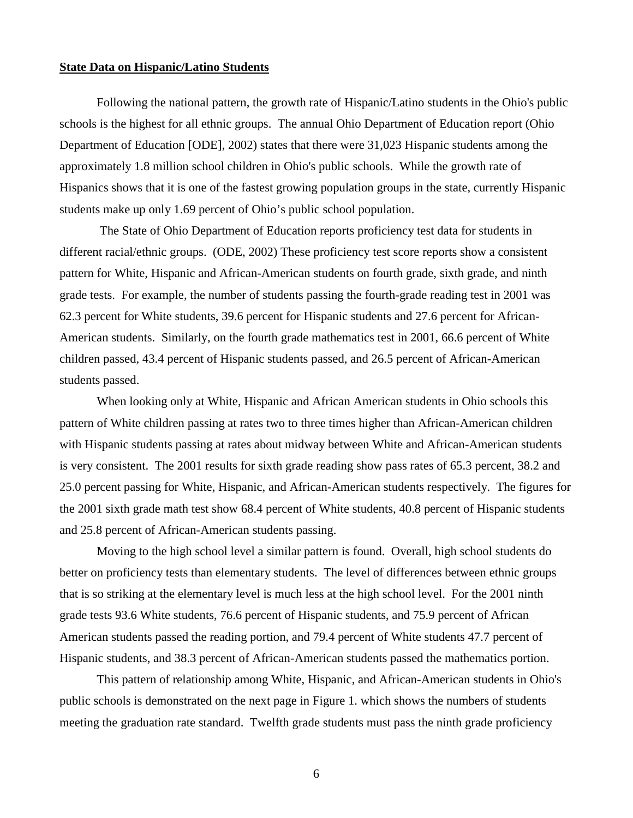# **State Data on Hispanic/Latino Students**

Following the national pattern, the growth rate of Hispanic/Latino students in the Ohio's public schools is the highest for all ethnic groups. The annual Ohio Department of Education report (Ohio Department of Education [ODE], 2002) states that there were 31,023 Hispanic students among the approximately 1.8 million school children in Ohio's public schools. While the growth rate of Hispanics shows that it is one of the fastest growing population groups in the state, currently Hispanic students make up only 1.69 percent of Ohio's public school population.

 The State of Ohio Department of Education reports proficiency test data for students in different racial/ethnic groups. (ODE, 2002) These proficiency test score reports show a consistent pattern for White, Hispanic and African-American students on fourth grade, sixth grade, and ninth grade tests. For example, the number of students passing the fourth-grade reading test in 2001 was 62.3 percent for White students, 39.6 percent for Hispanic students and 27.6 percent for African-American students. Similarly, on the fourth grade mathematics test in 2001, 66.6 percent of White children passed, 43.4 percent of Hispanic students passed, and 26.5 percent of African-American students passed.

When looking only at White, Hispanic and African American students in Ohio schools this pattern of White children passing at rates two to three times higher than African-American children with Hispanic students passing at rates about midway between White and African-American students is very consistent. The 2001 results for sixth grade reading show pass rates of 65.3 percent, 38.2 and 25.0 percent passing for White, Hispanic, and African-American students respectively. The figures for the 2001 sixth grade math test show 68.4 percent of White students, 40.8 percent of Hispanic students and 25.8 percent of African-American students passing.

Moving to the high school level a similar pattern is found. Overall, high school students do better on proficiency tests than elementary students. The level of differences between ethnic groups that is so striking at the elementary level is much less at the high school level. For the 2001 ninth grade tests 93.6 White students, 76.6 percent of Hispanic students, and 75.9 percent of African American students passed the reading portion, and 79.4 percent of White students 47.7 percent of Hispanic students, and 38.3 percent of African-American students passed the mathematics portion.

This pattern of relationship among White, Hispanic, and African-American students in Ohio's public schools is demonstrated on the next page in Figure 1. which shows the numbers of students meeting the graduation rate standard. Twelfth grade students must pass the ninth grade proficiency

 $\sim$  6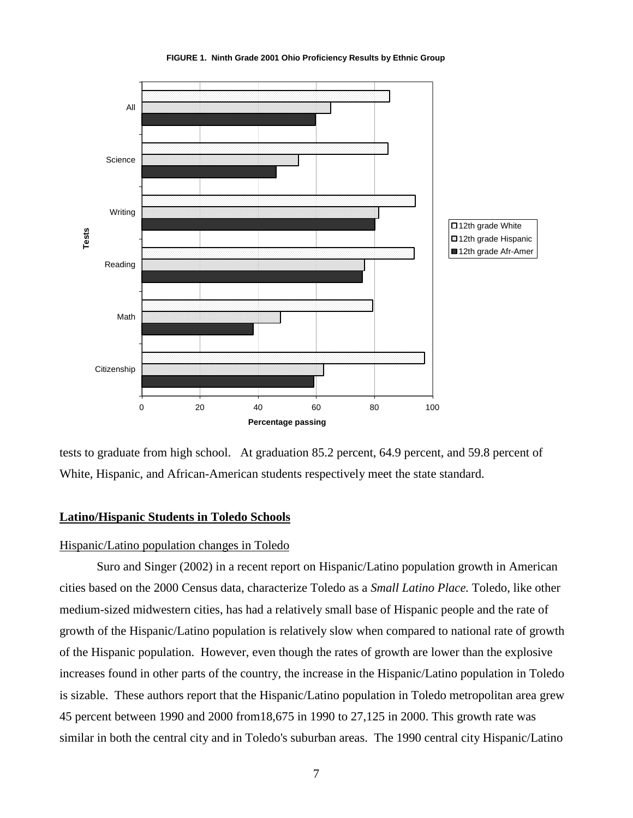

**FIGURE 1. Ninth Grade 2001 Ohio Proficiency Results by Ethnic Group**

tests to graduate from high school. At graduation 85.2 percent, 64.9 percent, and 59.8 percent of White, Hispanic, and African-American students respectively meet the state standard.

# **Latino/Hispanic Students in Toledo Schools**

# Hispanic/Latino population changes in Toledo

Suro and Singer (2002) in a recent report on Hispanic/Latino population growth in American cities based on the 2000 Census data, characterize Toledo as a *Small Latino Place.* Toledo, like other medium-sized midwestern cities, has had a relatively small base of Hispanic people and the rate of growth of the Hispanic/Latino population is relatively slow when compared to national rate of growth of the Hispanic population. However, even though the rates of growth are lower than the explosive increases found in other parts of the country, the increase in the Hispanic/Latino population in Toledo is sizable. These authors report that the Hispanic/Latino population in Toledo metropolitan area grew 45 percent between 1990 and 2000 from18,675 in 1990 to 27,125 in 2000. This growth rate was similar in both the central city and in Toledo's suburban areas. The 1990 central city Hispanic/Latino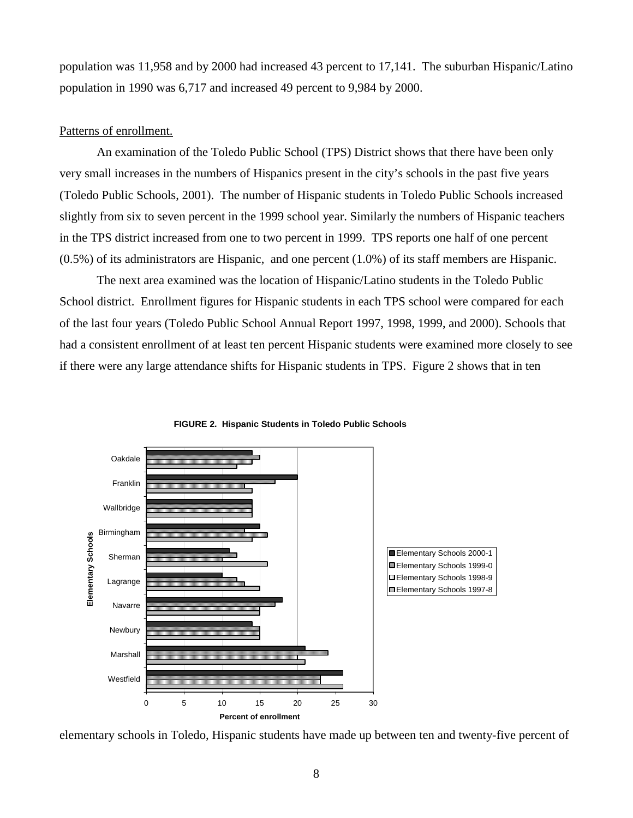population was 11,958 and by 2000 had increased 43 percent to 17,141. The suburban Hispanic/Latino population in 1990 was 6,717 and increased 49 percent to 9,984 by 2000.

# Patterns of enrollment.

An examination of the Toledo Public School (TPS) District shows that there have been only very small increases in the numbers of Hispanics present in the city's schools in the past five years (Toledo Public Schools, 2001). The number of Hispanic students in Toledo Public Schools increased slightly from six to seven percent in the 1999 school year. Similarly the numbers of Hispanic teachers in the TPS district increased from one to two percent in 1999. TPS reports one half of one percent (0.5%) of its administrators are Hispanic, and one percent (1.0%) of its staff members are Hispanic.

 The next area examined was the location of Hispanic/Latino students in the Toledo Public School district. Enrollment figures for Hispanic students in each TPS school were compared for each of the last four years (Toledo Public School Annual Report 1997, 1998, 1999, and 2000). Schools that had a consistent enrollment of at least ten percent Hispanic students were examined more closely to see if there were any large attendance shifts for Hispanic students in TPS. Figure 2 shows that in ten





elementary schools in Toledo, Hispanic students have made up between ten and twenty-five percent of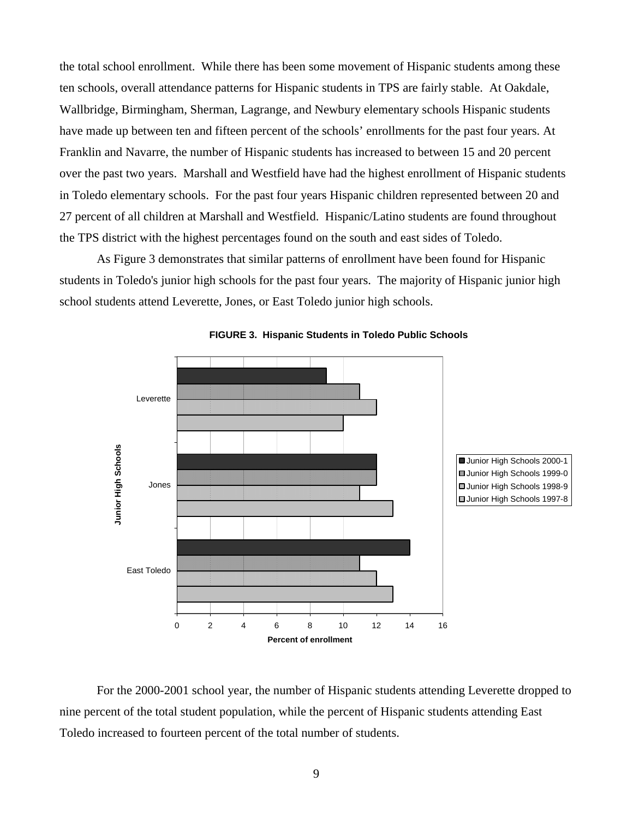the total school enrollment. While there has been some movement of Hispanic students among these ten schools, overall attendance patterns for Hispanic students in TPS are fairly stable. At Oakdale, Wallbridge, Birmingham, Sherman, Lagrange, and Newbury elementary schools Hispanic students have made up between ten and fifteen percent of the schools' enrollments for the past four years. At Franklin and Navarre, the number of Hispanic students has increased to between 15 and 20 percent over the past two years. Marshall and Westfield have had the highest enrollment of Hispanic students in Toledo elementary schools. For the past four years Hispanic children represented between 20 and 27 percent of all children at Marshall and Westfield. Hispanic/Latino students are found throughout the TPS district with the highest percentages found on the south and east sides of Toledo.

As Figure 3 demonstrates that similar patterns of enrollment have been found for Hispanic students in Toledo's junior high schools for the past four years. The majority of Hispanic junior high school students attend Leverette, Jones, or East Toledo junior high schools.



**FIGURE 3. Hispanic Students in Toledo Public Schools**

For the 2000-2001 school year, the number of Hispanic students attending Leverette dropped to nine percent of the total student population, while the percent of Hispanic students attending East Toledo increased to fourteen percent of the total number of students.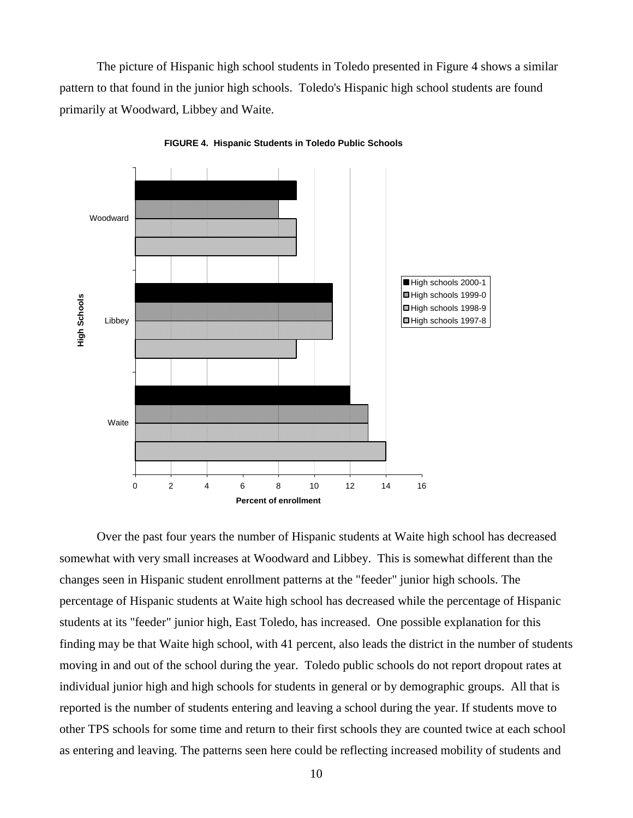The picture of Hispanic high school students in Toledo presented in Figure 4 shows a similar pattern to that found in the junior high schools. Toledo's Hispanic high school students are found primarily at Woodward, Libbey and Waite.



**FIGURE 4. Hispanic Students in Toledo Public Schools**

Over the past four years the number of Hispanic students at Waite high school has decreased somewhat with very small increases at Woodward and Libbey. This is somewhat different than the changes seen in Hispanic student enrollment patterns at the "feeder" junior high schools. The percentage of Hispanic students at Waite high school has decreased while the percentage of Hispanic students at its "feeder" junior high, East Toledo, has increased. One possible explanation for this finding may be that Waite high school, with 41 percent, also leads the district in the number of students moving in and out of the school during the year. Toledo public schools do not report dropout rates at individual junior high and high schools for students in general or by demographic groups. All that is reported is the number of students entering and leaving a school during the year. If students move to other TPS schools for some time and return to their first schools they are counted twice at each school as entering and leaving. The patterns seen here could be reflecting increased mobility of students and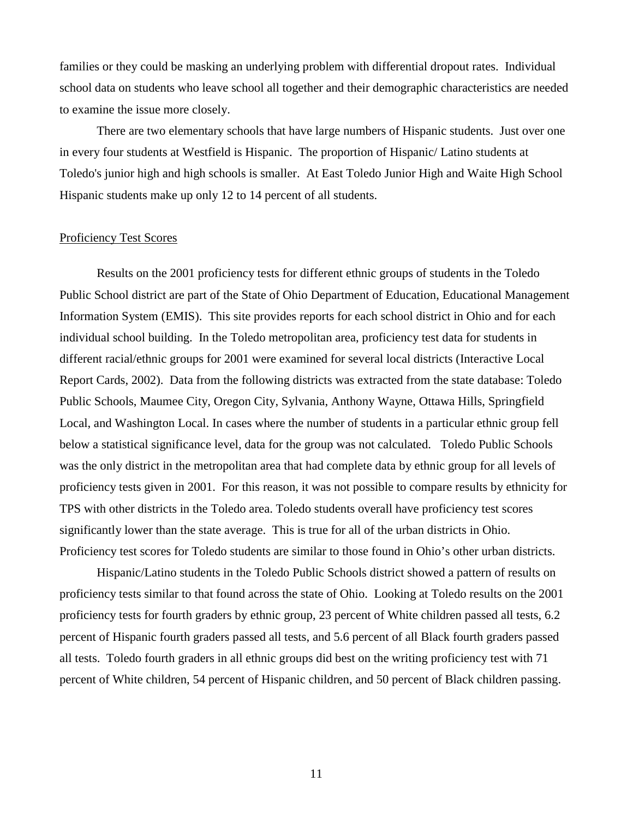families or they could be masking an underlying problem with differential dropout rates. Individual school data on students who leave school all together and their demographic characteristics are needed to examine the issue more closely.

There are two elementary schools that have large numbers of Hispanic students. Just over one in every four students at Westfield is Hispanic. The proportion of Hispanic/ Latino students at Toledo's junior high and high schools is smaller. At East Toledo Junior High and Waite High School Hispanic students make up only 12 to 14 percent of all students.

# Proficiency Test Scores

Results on the 2001 proficiency tests for different ethnic groups of students in the Toledo Public School district are part of the State of Ohio Department of Education, Educational Management Information System (EMIS). This site provides reports for each school district in Ohio and for each individual school building. In the Toledo metropolitan area, proficiency test data for students in different racial/ethnic groups for 2001 were examined for several local districts (Interactive Local Report Cards, 2002). Data from the following districts was extracted from the state database: Toledo Public Schools, Maumee City, Oregon City, Sylvania, Anthony Wayne, Ottawa Hills, Springfield Local, and Washington Local. In cases where the number of students in a particular ethnic group fell below a statistical significance level, data for the group was not calculated. Toledo Public Schools was the only district in the metropolitan area that had complete data by ethnic group for all levels of proficiency tests given in 2001. For this reason, it was not possible to compare results by ethnicity for TPS with other districts in the Toledo area. Toledo students overall have proficiency test scores significantly lower than the state average. This is true for all of the urban districts in Ohio. Proficiency test scores for Toledo students are similar to those found in Ohio's other urban districts.

Hispanic/Latino students in the Toledo Public Schools district showed a pattern of results on proficiency tests similar to that found across the state of Ohio. Looking at Toledo results on the 2001 proficiency tests for fourth graders by ethnic group, 23 percent of White children passed all tests, 6.2 percent of Hispanic fourth graders passed all tests, and 5.6 percent of all Black fourth graders passed all tests. Toledo fourth graders in all ethnic groups did best on the writing proficiency test with 71 percent of White children, 54 percent of Hispanic children, and 50 percent of Black children passing.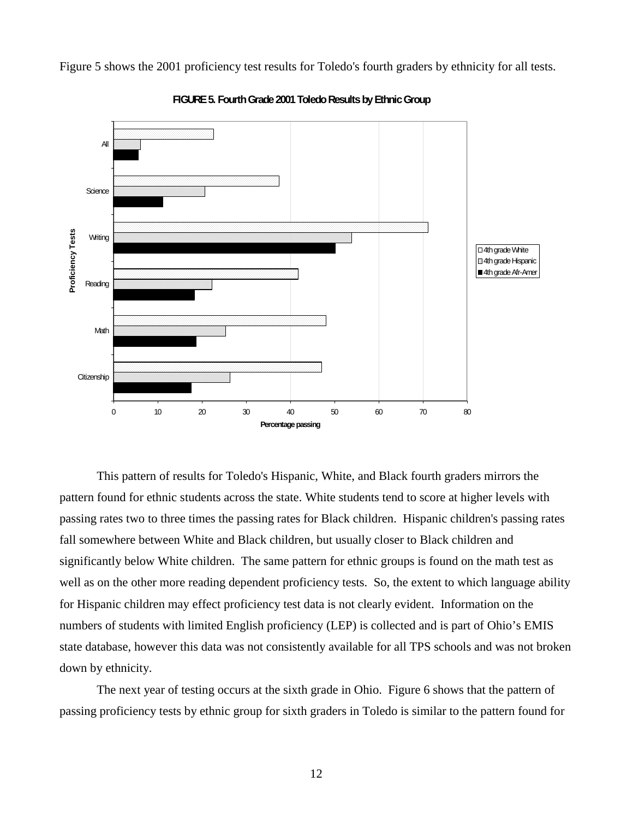Figure 5 shows the 2001 proficiency test results for Toledo's fourth graders by ethnicity for all tests.



**FIGURE 5. Fourth Grade 2001 Toledo Results by Ethnic Group**

This pattern of results for Toledo's Hispanic, White, and Black fourth graders mirrors the pattern found for ethnic students across the state. White students tend to score at higher levels with passing rates two to three times the passing rates for Black children. Hispanic children's passing rates fall somewhere between White and Black children, but usually closer to Black children and significantly below White children. The same pattern for ethnic groups is found on the math test as well as on the other more reading dependent proficiency tests. So, the extent to which language ability for Hispanic children may effect proficiency test data is not clearly evident. Information on the numbers of students with limited English proficiency (LEP) is collected and is part of Ohio's EMIS state database, however this data was not consistently available for all TPS schools and was not broken down by ethnicity.

The next year of testing occurs at the sixth grade in Ohio. Figure 6 shows that the pattern of passing proficiency tests by ethnic group for sixth graders in Toledo is similar to the pattern found for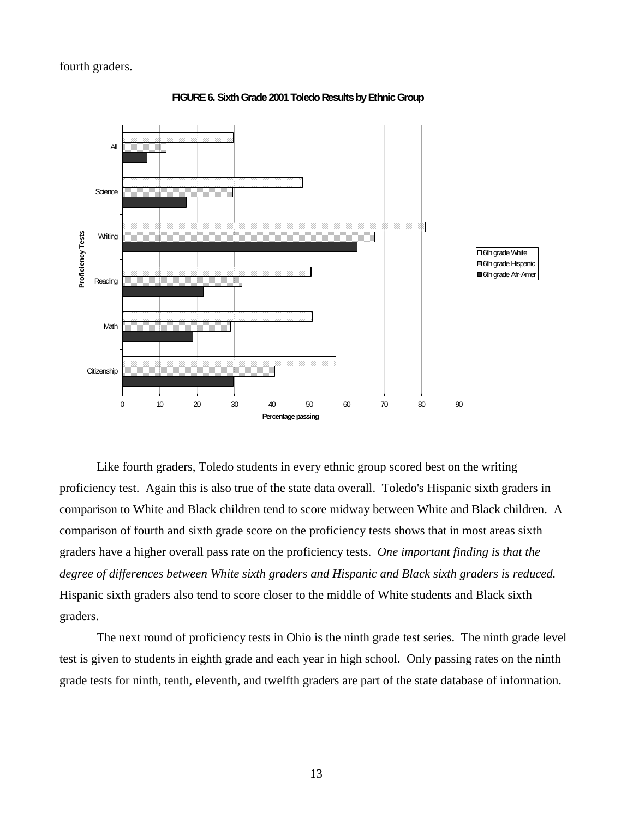

**FIGURE 6. Sixth Grade 2001 Toledo Results by Ethnic Group**

Like fourth graders, Toledo students in every ethnic group scored best on the writing proficiency test. Again this is also true of the state data overall. Toledo's Hispanic sixth graders in comparison to White and Black children tend to score midway between White and Black children. A comparison of fourth and sixth grade score on the proficiency tests shows that in most areas sixth graders have a higher overall pass rate on the proficiency tests. *One important finding is that the degree of differences between White sixth graders and Hispanic and Black sixth graders is reduced.* Hispanic sixth graders also tend to score closer to the middle of White students and Black sixth graders.

 The next round of proficiency tests in Ohio is the ninth grade test series. The ninth grade level test is given to students in eighth grade and each year in high school. Only passing rates on the ninth grade tests for ninth, tenth, eleventh, and twelfth graders are part of the state database of information.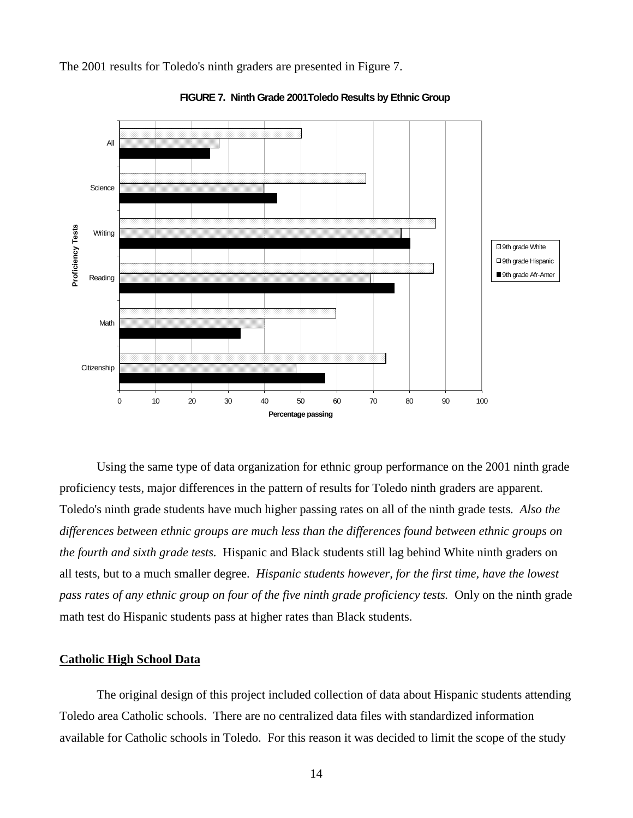The 2001 results for Toledo's ninth graders are presented in Figure 7.



**FIGURE 7. Ninth Grade 2001Toledo Results by Ethnic Group**

Using the same type of data organization for ethnic group performance on the 2001 ninth grade proficiency tests, major differences in the pattern of results for Toledo ninth graders are apparent. Toledo's ninth grade students have much higher passing rates on all of the ninth grade tests*. Also the differences between ethnic groups are much less than the differences found between ethnic groups on the fourth and sixth grade tests.* Hispanic and Black students still lag behind White ninth graders on all tests, but to a much smaller degree. *Hispanic students however, for the first time, have the lowest pass rates of any ethnic group on four of the five ninth grade proficiency tests.* Only on the ninth grade math test do Hispanic students pass at higher rates than Black students.

#### **Catholic High School Data**

The original design of this project included collection of data about Hispanic students attending Toledo area Catholic schools. There are no centralized data files with standardized information available for Catholic schools in Toledo. For this reason it was decided to limit the scope of the study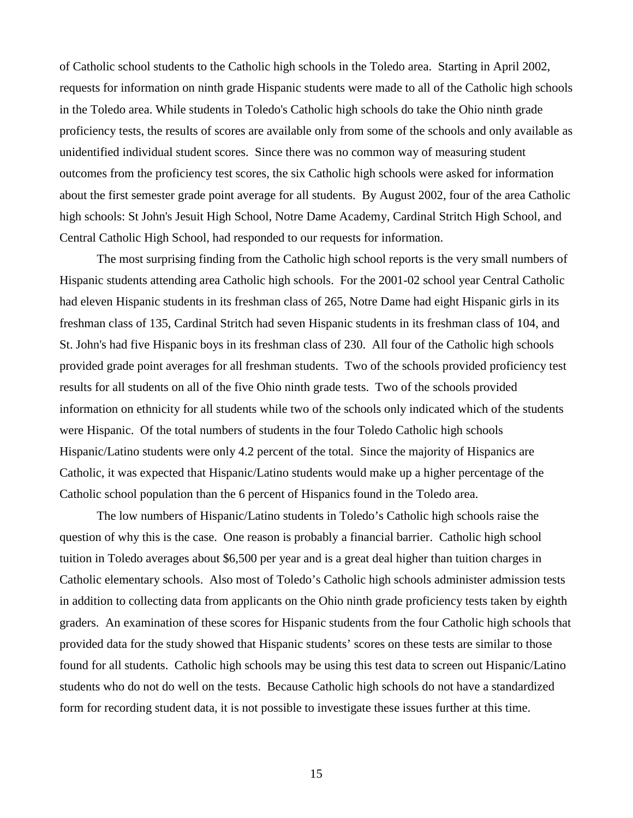of Catholic school students to the Catholic high schools in the Toledo area. Starting in April 2002, requests for information on ninth grade Hispanic students were made to all of the Catholic high schools in the Toledo area. While students in Toledo's Catholic high schools do take the Ohio ninth grade proficiency tests, the results of scores are available only from some of the schools and only available as unidentified individual student scores. Since there was no common way of measuring student outcomes from the proficiency test scores, the six Catholic high schools were asked for information about the first semester grade point average for all students. By August 2002, four of the area Catholic high schools: St John's Jesuit High School, Notre Dame Academy, Cardinal Stritch High School, and Central Catholic High School, had responded to our requests for information.

 The most surprising finding from the Catholic high school reports is the very small numbers of Hispanic students attending area Catholic high schools. For the 2001-02 school year Central Catholic had eleven Hispanic students in its freshman class of 265, Notre Dame had eight Hispanic girls in its freshman class of 135, Cardinal Stritch had seven Hispanic students in its freshman class of 104, and St. John's had five Hispanic boys in its freshman class of 230. All four of the Catholic high schools provided grade point averages for all freshman students. Two of the schools provided proficiency test results for all students on all of the five Ohio ninth grade tests. Two of the schools provided information on ethnicity for all students while two of the schools only indicated which of the students were Hispanic. Of the total numbers of students in the four Toledo Catholic high schools Hispanic/Latino students were only 4.2 percent of the total. Since the majority of Hispanics are Catholic, it was expected that Hispanic/Latino students would make up a higher percentage of the Catholic school population than the 6 percent of Hispanics found in the Toledo area.

The low numbers of Hispanic/Latino students in Toledo's Catholic high schools raise the question of why this is the case. One reason is probably a financial barrier. Catholic high school tuition in Toledo averages about \$6,500 per year and is a great deal higher than tuition charges in Catholic elementary schools. Also most of Toledo's Catholic high schools administer admission tests in addition to collecting data from applicants on the Ohio ninth grade proficiency tests taken by eighth graders. An examination of these scores for Hispanic students from the four Catholic high schools that provided data for the study showed that Hispanic students' scores on these tests are similar to those found for all students. Catholic high schools may be using this test data to screen out Hispanic/Latino students who do not do well on the tests. Because Catholic high schools do not have a standardized form for recording student data, it is not possible to investigate these issues further at this time.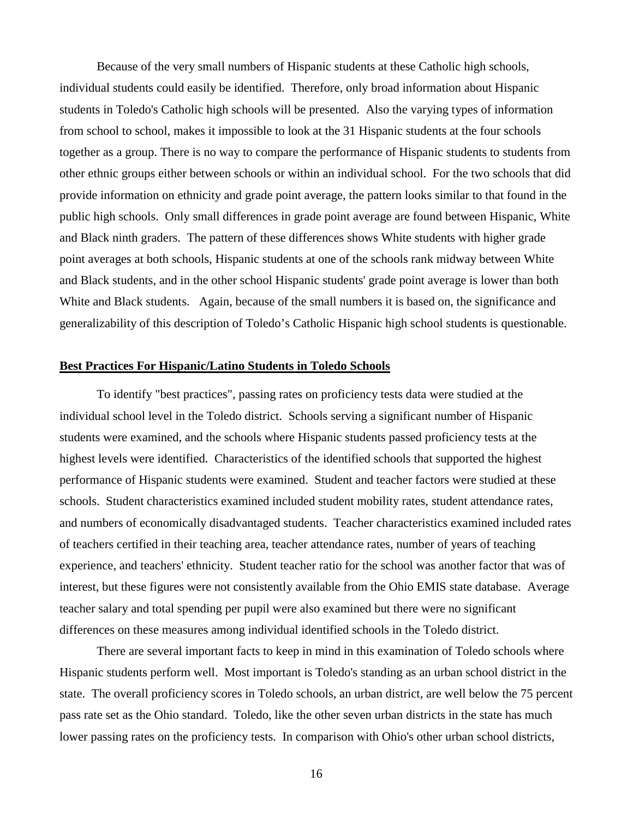Because of the very small numbers of Hispanic students at these Catholic high schools, individual students could easily be identified. Therefore, only broad information about Hispanic students in Toledo's Catholic high schools will be presented. Also the varying types of information from school to school, makes it impossible to look at the 31 Hispanic students at the four schools together as a group. There is no way to compare the performance of Hispanic students to students from other ethnic groups either between schools or within an individual school. For the two schools that did provide information on ethnicity and grade point average, the pattern looks similar to that found in the public high schools. Only small differences in grade point average are found between Hispanic, White and Black ninth graders. The pattern of these differences shows White students with higher grade point averages at both schools, Hispanic students at one of the schools rank midway between White and Black students, and in the other school Hispanic students' grade point average is lower than both White and Black students. Again, because of the small numbers it is based on, the significance and generalizability of this description of Toledo's Catholic Hispanic high school students is questionable.

## **Best Practices For Hispanic/Latino Students in Toledo Schools**

 To identify "best practices", passing rates on proficiency tests data were studied at the individual school level in the Toledo district. Schools serving a significant number of Hispanic students were examined, and the schools where Hispanic students passed proficiency tests at the highest levels were identified. Characteristics of the identified schools that supported the highest performance of Hispanic students were examined. Student and teacher factors were studied at these schools. Student characteristics examined included student mobility rates, student attendance rates, and numbers of economically disadvantaged students. Teacher characteristics examined included rates of teachers certified in their teaching area, teacher attendance rates, number of years of teaching experience, and teachers' ethnicity. Student teacher ratio for the school was another factor that was of interest, but these figures were not consistently available from the Ohio EMIS state database. Average teacher salary and total spending per pupil were also examined but there were no significant differences on these measures among individual identified schools in the Toledo district.

There are several important facts to keep in mind in this examination of Toledo schools where Hispanic students perform well. Most important is Toledo's standing as an urban school district in the state. The overall proficiency scores in Toledo schools, an urban district, are well below the 75 percent pass rate set as the Ohio standard. Toledo, like the other seven urban districts in the state has much lower passing rates on the proficiency tests. In comparison with Ohio's other urban school districts,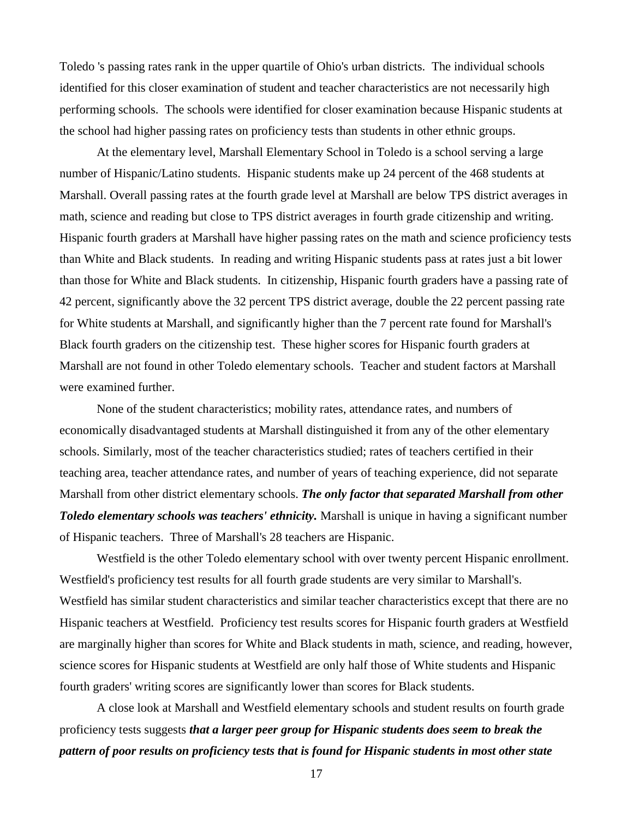Toledo 's passing rates rank in the upper quartile of Ohio's urban districts. The individual schools identified for this closer examination of student and teacher characteristics are not necessarily high performing schools. The schools were identified for closer examination because Hispanic students at the school had higher passing rates on proficiency tests than students in other ethnic groups.

At the elementary level, Marshall Elementary School in Toledo is a school serving a large number of Hispanic/Latino students. Hispanic students make up 24 percent of the 468 students at Marshall. Overall passing rates at the fourth grade level at Marshall are below TPS district averages in math, science and reading but close to TPS district averages in fourth grade citizenship and writing. Hispanic fourth graders at Marshall have higher passing rates on the math and science proficiency tests than White and Black students. In reading and writing Hispanic students pass at rates just a bit lower than those for White and Black students. In citizenship, Hispanic fourth graders have a passing rate of 42 percent, significantly above the 32 percent TPS district average, double the 22 percent passing rate for White students at Marshall, and significantly higher than the 7 percent rate found for Marshall's Black fourth graders on the citizenship test. These higher scores for Hispanic fourth graders at Marshall are not found in other Toledo elementary schools. Teacher and student factors at Marshall were examined further.

None of the student characteristics; mobility rates, attendance rates, and numbers of economically disadvantaged students at Marshall distinguished it from any of the other elementary schools. Similarly, most of the teacher characteristics studied; rates of teachers certified in their teaching area, teacher attendance rates, and number of years of teaching experience, did not separate Marshall from other district elementary schools. *The only factor that separated Marshall from other Toledo elementary schools was teachers' ethnicity.* Marshall is unique in having a significant number of Hispanic teachers. Three of Marshall's 28 teachers are Hispanic.

Westfield is the other Toledo elementary school with over twenty percent Hispanic enrollment. Westfield's proficiency test results for all fourth grade students are very similar to Marshall's. Westfield has similar student characteristics and similar teacher characteristics except that there are no Hispanic teachers at Westfield. Proficiency test results scores for Hispanic fourth graders at Westfield are marginally higher than scores for White and Black students in math, science, and reading, however, science scores for Hispanic students at Westfield are only half those of White students and Hispanic fourth graders' writing scores are significantly lower than scores for Black students.

A close look at Marshall and Westfield elementary schools and student results on fourth grade proficiency tests suggests *that a larger peer group for Hispanic students does seem to break the pattern of poor results on proficiency tests that is found for Hispanic students in most other state*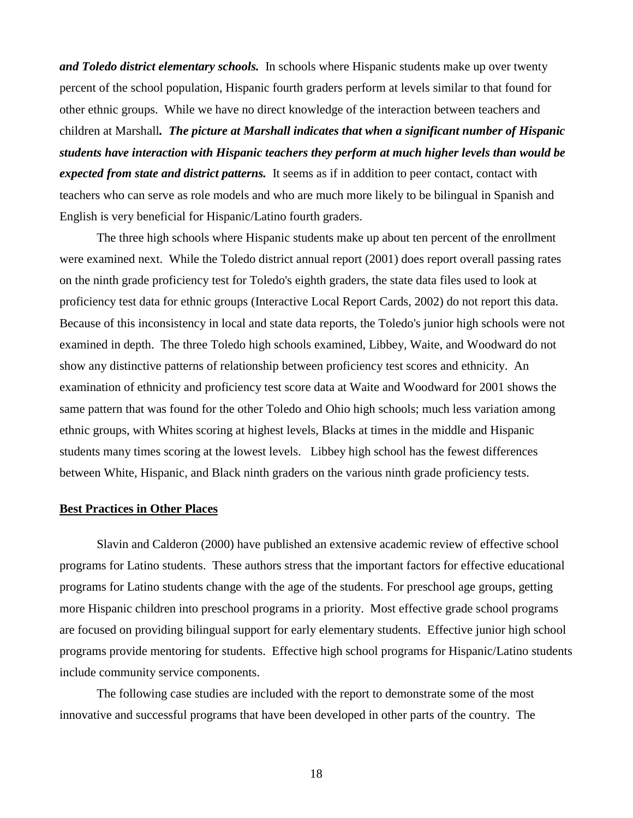*and Toledo district elementary schools.* In schools where Hispanic students make up over twenty percent of the school population, Hispanic fourth graders perform at levels similar to that found for other ethnic groups. While we have no direct knowledge of the interaction between teachers and children at Marshall*. The picture at Marshall indicates that when a significant number of Hispanic students have interaction with Hispanic teachers they perform at much higher levels than would be expected from state and district patterns.* It seems as if in addition to peer contact, contact with teachers who can serve as role models and who are much more likely to be bilingual in Spanish and English is very beneficial for Hispanic/Latino fourth graders.

The three high schools where Hispanic students make up about ten percent of the enrollment were examined next. While the Toledo district annual report (2001) does report overall passing rates on the ninth grade proficiency test for Toledo's eighth graders, the state data files used to look at proficiency test data for ethnic groups (Interactive Local Report Cards, 2002) do not report this data. Because of this inconsistency in local and state data reports, the Toledo's junior high schools were not examined in depth. The three Toledo high schools examined, Libbey, Waite, and Woodward do not show any distinctive patterns of relationship between proficiency test scores and ethnicity. An examination of ethnicity and proficiency test score data at Waite and Woodward for 2001 shows the same pattern that was found for the other Toledo and Ohio high schools; much less variation among ethnic groups, with Whites scoring at highest levels, Blacks at times in the middle and Hispanic students many times scoring at the lowest levels. Libbey high school has the fewest differences between White, Hispanic, and Black ninth graders on the various ninth grade proficiency tests.

# **Best Practices in Other Places**

Slavin and Calderon (2000) have published an extensive academic review of effective school programs for Latino students. These authors stress that the important factors for effective educational programs for Latino students change with the age of the students. For preschool age groups, getting more Hispanic children into preschool programs in a priority. Most effective grade school programs are focused on providing bilingual support for early elementary students. Effective junior high school programs provide mentoring for students. Effective high school programs for Hispanic/Latino students include community service components.

The following case studies are included with the report to demonstrate some of the most innovative and successful programs that have been developed in other parts of the country. The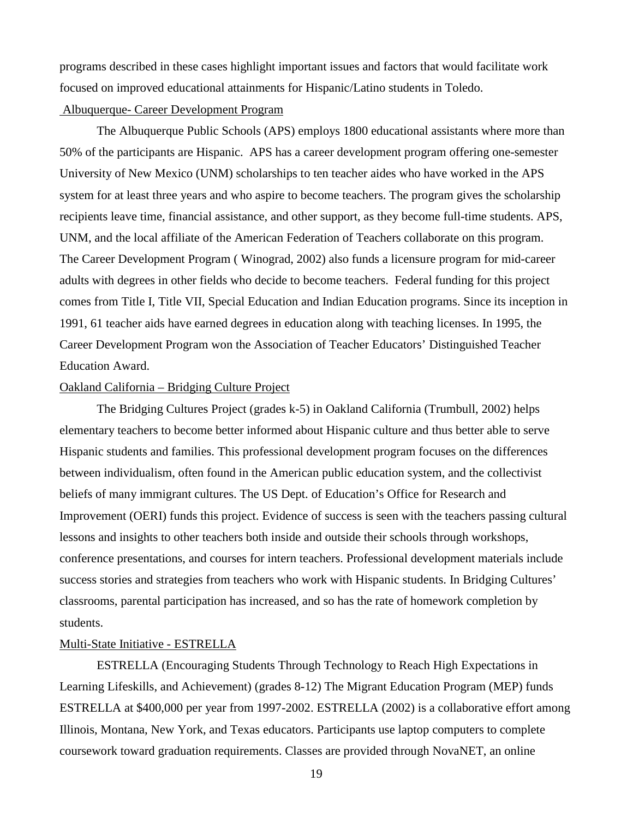programs described in these cases highlight important issues and factors that would facilitate work focused on improved educational attainments for Hispanic/Latino students in Toledo.

# Albuquerque- Career Development Program

The Albuquerque Public Schools (APS) employs 1800 educational assistants where more than 50% of the participants are Hispanic. APS has a career development program offering one-semester University of New Mexico (UNM) scholarships to ten teacher aides who have worked in the APS system for at least three years and who aspire to become teachers. The program gives the scholarship recipients leave time, financial assistance, and other support, as they become full-time students. APS, UNM, and the local affiliate of the American Federation of Teachers collaborate on this program. The Career Development Program ( Winograd, 2002) also funds a licensure program for mid-career adults with degrees in other fields who decide to become teachers. Federal funding for this project comes from Title I, Title VII, Special Education and Indian Education programs. Since its inception in 1991, 61 teacher aids have earned degrees in education along with teaching licenses. In 1995, the Career Development Program won the Association of Teacher Educators' Distinguished Teacher Education Award.

# Oakland California – Bridging Culture Project

The Bridging Cultures Project (grades k-5) in Oakland California (Trumbull, 2002) helps elementary teachers to become better informed about Hispanic culture and thus better able to serve Hispanic students and families. This professional development program focuses on the differences between individualism, often found in the American public education system, and the collectivist beliefs of many immigrant cultures. The US Dept. of Education's Office for Research and Improvement (OERI) funds this project. Evidence of success is seen with the teachers passing cultural lessons and insights to other teachers both inside and outside their schools through workshops, conference presentations, and courses for intern teachers. Professional development materials include success stories and strategies from teachers who work with Hispanic students. In Bridging Cultures' classrooms, parental participation has increased, and so has the rate of homework completion by students.

# Multi-State Initiative - ESTRELLA

ESTRELLA (Encouraging Students Through Technology to Reach High Expectations in Learning Lifeskills, and Achievement) (grades 8-12) The Migrant Education Program (MEP) funds ESTRELLA at \$400,000 per year from 1997-2002. ESTRELLA (2002) is a collaborative effort among Illinois, Montana, New York, and Texas educators. Participants use laptop computers to complete coursework toward graduation requirements. Classes are provided through NovaNET, an online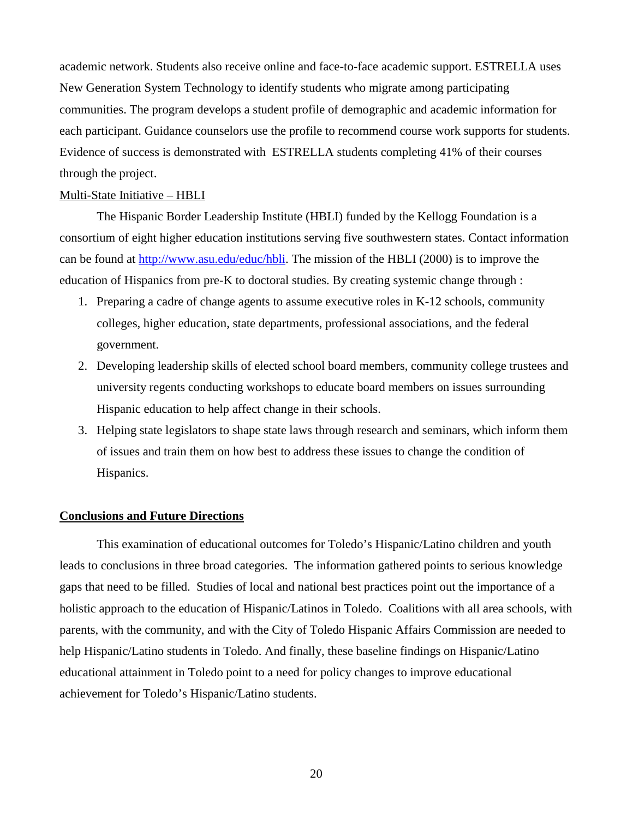academic network. Students also receive online and face-to-face academic support. ESTRELLA uses New Generation System Technology to identify students who migrate among participating communities. The program develops a student profile of demographic and academic information for each participant. Guidance counselors use the profile to recommend course work supports for students. Evidence of success is demonstrated with ESTRELLA students completing 41% of their courses through the project.

#### Multi-State Initiative – HBLI

The Hispanic Border Leadership Institute (HBLI) funded by the Kellogg Foundation is a consortium of eight higher education institutions serving five southwestern states. Contact information can be found at http://www.asu.edu/educ/hbli. The mission of the HBLI (2000) is to improve the education of Hispanics from pre-K to doctoral studies. By creating systemic change through :

- 1. Preparing a cadre of change agents to assume executive roles in K-12 schools, community colleges, higher education, state departments, professional associations, and the federal government.
- 2. Developing leadership skills of elected school board members, community college trustees and university regents conducting workshops to educate board members on issues surrounding Hispanic education to help affect change in their schools.
- 3. Helping state legislators to shape state laws through research and seminars, which inform them of issues and train them on how best to address these issues to change the condition of Hispanics.

# **Conclusions and Future Directions**

This examination of educational outcomes for Toledo's Hispanic/Latino children and youth leads to conclusions in three broad categories. The information gathered points to serious knowledge gaps that need to be filled. Studies of local and national best practices point out the importance of a holistic approach to the education of Hispanic/Latinos in Toledo. Coalitions with all area schools, with parents, with the community, and with the City of Toledo Hispanic Affairs Commission are needed to help Hispanic/Latino students in Toledo. And finally, these baseline findings on Hispanic/Latino educational attainment in Toledo point to a need for policy changes to improve educational achievement for Toledo's Hispanic/Latino students.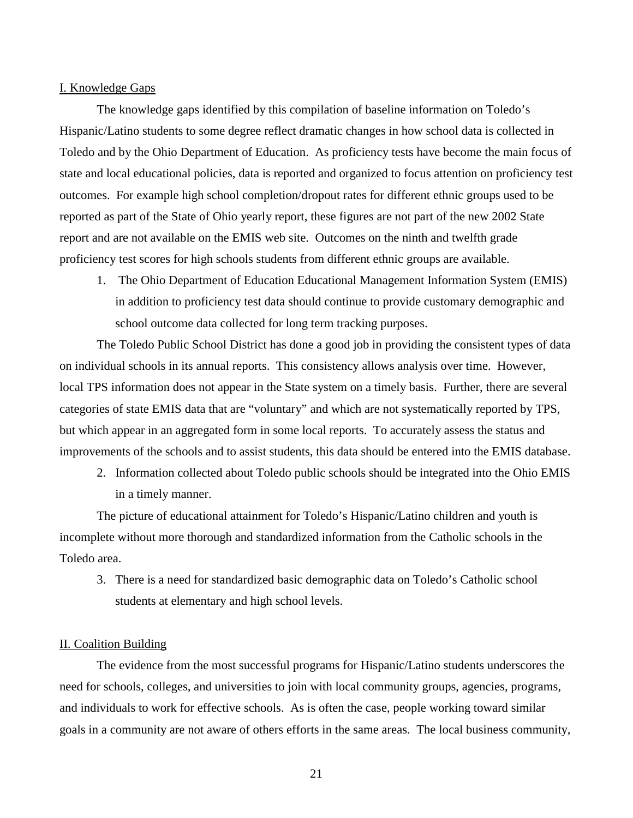## I. Knowledge Gaps

The knowledge gaps identified by this compilation of baseline information on Toledo's Hispanic/Latino students to some degree reflect dramatic changes in how school data is collected in Toledo and by the Ohio Department of Education. As proficiency tests have become the main focus of state and local educational policies, data is reported and organized to focus attention on proficiency test outcomes. For example high school completion/dropout rates for different ethnic groups used to be reported as part of the State of Ohio yearly report, these figures are not part of the new 2002 State report and are not available on the EMIS web site. Outcomes on the ninth and twelfth grade proficiency test scores for high schools students from different ethnic groups are available.

1. The Ohio Department of Education Educational Management Information System (EMIS) in addition to proficiency test data should continue to provide customary demographic and school outcome data collected for long term tracking purposes.

 The Toledo Public School District has done a good job in providing the consistent types of data on individual schools in its annual reports. This consistency allows analysis over time. However, local TPS information does not appear in the State system on a timely basis. Further, there are several categories of state EMIS data that are "voluntary" and which are not systematically reported by TPS, but which appear in an aggregated form in some local reports. To accurately assess the status and improvements of the schools and to assist students, this data should be entered into the EMIS database.

2. Information collected about Toledo public schools should be integrated into the Ohio EMIS in a timely manner.

 The picture of educational attainment for Toledo's Hispanic/Latino children and youth is incomplete without more thorough and standardized information from the Catholic schools in the Toledo area.

3. There is a need for standardized basic demographic data on Toledo's Catholic school students at elementary and high school levels.

## II. Coalition Building

 The evidence from the most successful programs for Hispanic/Latino students underscores the need for schools, colleges, and universities to join with local community groups, agencies, programs, and individuals to work for effective schools. As is often the case, people working toward similar goals in a community are not aware of others efforts in the same areas. The local business community,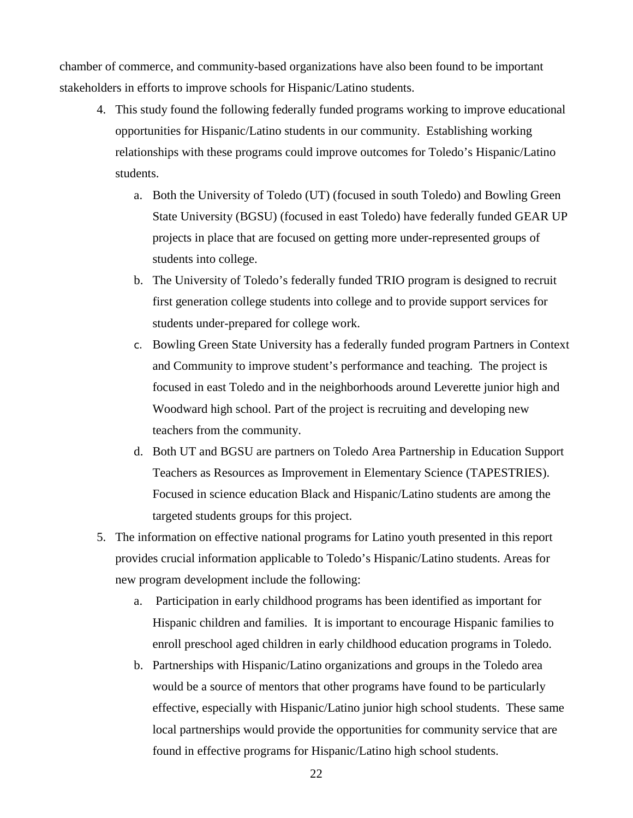chamber of commerce, and community-based organizations have also been found to be important stakeholders in efforts to improve schools for Hispanic/Latino students.

- 4. This study found the following federally funded programs working to improve educational opportunities for Hispanic/Latino students in our community. Establishing working relationships with these programs could improve outcomes for Toledo's Hispanic/Latino students.
	- a. Both the University of Toledo (UT) (focused in south Toledo) and Bowling Green State University (BGSU) (focused in east Toledo) have federally funded GEAR UP projects in place that are focused on getting more under-represented groups of students into college.
	- b. The University of Toledo's federally funded TRIO program is designed to recruit first generation college students into college and to provide support services for students under-prepared for college work.
	- c. Bowling Green State University has a federally funded program Partners in Context and Community to improve student's performance and teaching. The project is focused in east Toledo and in the neighborhoods around Leverette junior high and Woodward high school. Part of the project is recruiting and developing new teachers from the community.
	- d. Both UT and BGSU are partners on Toledo Area Partnership in Education Support Teachers as Resources as Improvement in Elementary Science (TAPESTRIES). Focused in science education Black and Hispanic/Latino students are among the targeted students groups for this project.
- 5. The information on effective national programs for Latino youth presented in this report provides crucial information applicable to Toledo's Hispanic/Latino students. Areas for new program development include the following:
	- a. Participation in early childhood programs has been identified as important for Hispanic children and families. It is important to encourage Hispanic families to enroll preschool aged children in early childhood education programs in Toledo.
	- b. Partnerships with Hispanic/Latino organizations and groups in the Toledo area would be a source of mentors that other programs have found to be particularly effective, especially with Hispanic/Latino junior high school students. These same local partnerships would provide the opportunities for community service that are found in effective programs for Hispanic/Latino high school students.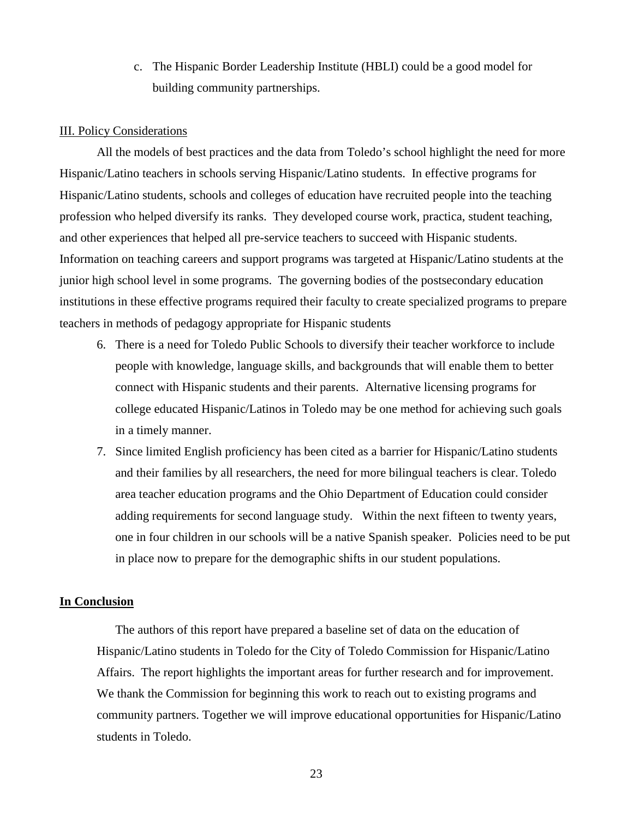c. The Hispanic Border Leadership Institute (HBLI) could be a good model for building community partnerships.

## III. Policy Considerations

All the models of best practices and the data from Toledo's school highlight the need for more Hispanic/Latino teachers in schools serving Hispanic/Latino students. In effective programs for Hispanic/Latino students, schools and colleges of education have recruited people into the teaching profession who helped diversify its ranks. They developed course work, practica, student teaching, and other experiences that helped all pre-service teachers to succeed with Hispanic students. Information on teaching careers and support programs was targeted at Hispanic/Latino students at the junior high school level in some programs. The governing bodies of the postsecondary education institutions in these effective programs required their faculty to create specialized programs to prepare teachers in methods of pedagogy appropriate for Hispanic students

- 6. There is a need for Toledo Public Schools to diversify their teacher workforce to include people with knowledge, language skills, and backgrounds that will enable them to better connect with Hispanic students and their parents. Alternative licensing programs for college educated Hispanic/Latinos in Toledo may be one method for achieving such goals in a timely manner.
- 7. Since limited English proficiency has been cited as a barrier for Hispanic/Latino students and their families by all researchers, the need for more bilingual teachers is clear. Toledo area teacher education programs and the Ohio Department of Education could consider adding requirements for second language study. Within the next fifteen to twenty years, one in four children in our schools will be a native Spanish speaker. Policies need to be put in place now to prepare for the demographic shifts in our student populations.

# **In Conclusion**

The authors of this report have prepared a baseline set of data on the education of Hispanic/Latino students in Toledo for the City of Toledo Commission for Hispanic/Latino Affairs. The report highlights the important areas for further research and for improvement. We thank the Commission for beginning this work to reach out to existing programs and community partners. Together we will improve educational opportunities for Hispanic/Latino students in Toledo.